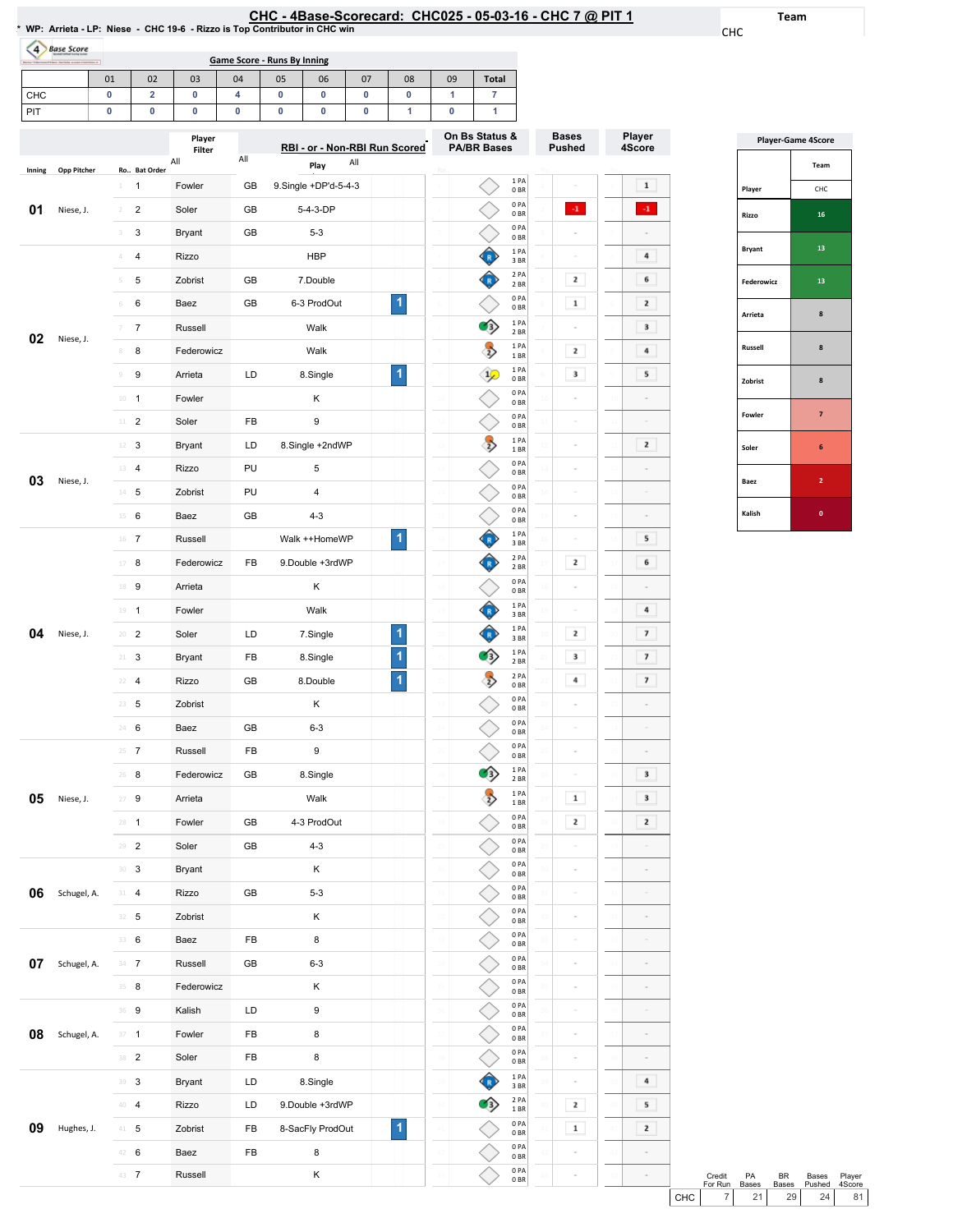| :HC - 4Base-Scorecard: CHC025 - 05-03-16 - CHC 7 @ PIT · |  |  |  |  |
|----------------------------------------------------------|--|--|--|--|
|----------------------------------------------------------|--|--|--|--|

Team

CHC

Player 4Score

 $\mathbf{1}$  $\langle\cdot\mathbf{1}\rangle$  $\sim$  $\,$  4  $\,$  $6\phantom{.00}$  $\overline{2}$  $\overline{\phantom{a}}$  $\overline{4}$  $5<sub>5</sub>$ 

 $\overline{\mathbf{2}}$  $\sim$  $\sim$  $\sim$  $5<sub>5</sub>$  $6\overline{6}$  $\sim$  $\overline{4}$  $\overline{7}$  $\overline{\phantom{a}}$  $\overline{\mathbf{z}}$  $\sim$  $\sim$  $\sim$  $\overline{\mathbf{3}}$  $\overline{\mathbf{3}}$  $\overline{\mathbf{r}}$  $\sim$  $\sim$ 

|        | 4 Base Score |                |                         |                  |     | <b>Game Score - Runs By Inning</b> |                               |     |    |    |                                      |                         |                               |                           |
|--------|--------------|----------------|-------------------------|------------------|-----|------------------------------------|-------------------------------|-----|----|----|--------------------------------------|-------------------------|-------------------------------|---------------------------|
|        |              | 01             | 02                      | 03               | 04  | 05                                 | 06                            | 07  | 08 | 09 | <b>Total</b>                         |                         |                               |                           |
| CHC    |              | 0              | $\overline{\mathbf{2}}$ | 0                | 4   | 0                                  | 0                             | 0   | 0  | 1  | 7                                    |                         |                               |                           |
| PIT    |              | 0              | 0                       | 0                | 0   | 0                                  | 0                             | 0   | 1  | 0  | 1                                    |                         |                               |                           |
|        |              |                |                         | Player<br>Filter |     |                                    | RBI - or - Non-RBI Run Scored |     |    |    | On Bs Status &<br><b>PA/BR Bases</b> |                         | <b>Bases</b><br><b>Pushed</b> | Player<br>4Scor           |
| Inning | Opp Pitcher  |                | Ro Bat Order            | All              | All |                                    | Play                          | All |    |    |                                      |                         |                               |                           |
|        |              | $\perp$        | 1                       | Fowler           | GB  |                                    | 9.Single +DP'd-5-4-3          |     |    |    |                                      | 1PA<br>0 <sub>BR</sub>  |                               | $\mathbf 1$               |
| 01     | Niese, J.    | $\overline{2}$ | 2                       | Soler            | GB  |                                    | 5-4-3-DP                      |     |    |    |                                      | 0PA<br>0 <sub>BR</sub>  | $-1$ .                        | $\mathbf{I}$              |
|        |              | 3              | 3                       | <b>Bryant</b>    | GB  |                                    | $5 - 3$                       |     |    |    |                                      | 0PA<br>0 <sub>BR</sub>  |                               |                           |
|        |              | 4              | 4                       | Rizzo            |     |                                    | <b>HBP</b>                    |     |    |    |                                      | 1PA<br>3BR              |                               | 4                         |
|        |              | 5              | 5                       | Zobrist          | GB  |                                    | 7.Double                      |     |    |    |                                      | 2 PA<br>2 BR            | 2                             | 6                         |
|        |              | 6              | 6                       | Baez             | GB  |                                    | 6-3 ProdOut                   |     | 1  |    |                                      | 0PA<br>0 <sub>BR</sub>  | $\mathbf 1$                   | 2                         |
| 02     | Niese, J.    | 7              | $\overline{7}$          | Russell          |     |                                    | Walk                          |     |    |    | $\rightarrow$                        | 1 PA<br>2 BR            | ÷                             | 3                         |
|        |              | 8              | 8                       | Federowicz       |     |                                    | Walk                          |     |    |    | $\Rightarrow$                        | 1 PA<br>1 BR            | 2                             | 4                         |
|        |              | $\mathcal G$   | 9                       | Arrieta          | LD  |                                    | 8.Single                      |     | 1  |    | $\frac{1}{2}$                        | 1 PA<br>0 <sub>BR</sub> | 3                             | 5                         |
|        |              | $10\,$         | $\mathbf{1}$            | Fowler           |     |                                    | Κ                             |     |    |    |                                      | 0PA<br>0 <sub>BR</sub>  |                               |                           |
|        |              | $11 -$         | $\overline{2}$          | Soler            | FB  |                                    | 9                             |     |    |    |                                      | 0PA<br>0 <sub>BR</sub>  |                               |                           |
|        |              | 12             | 3                       | <b>Bryant</b>    | LD  |                                    | 8.Single +2ndWP               |     |    |    | $\overrightarrow{2}$                 | 1PA<br>1 BR             |                               | 2                         |
|        |              |                | 13 4                    | Rizzo            | PU  |                                    | 5                             |     |    |    |                                      | 0PA<br>0 <sub>BR</sub>  |                               |                           |
| 03     | Niese, J.    | $14 -$         | 5                       | Zobrist          | PU  |                                    | $\sqrt{4}$                    |     |    |    |                                      | 0PA<br>0 <sub>BR</sub>  | ÷                             |                           |
|        |              |                | $15 \t 6$               | Baez             | GB  |                                    | $4 - 3$                       |     |    |    |                                      | 0PA<br>0 <sub>BR</sub>  | ÷                             |                           |
|        |              |                | $16$ 7                  | Russell          |     |                                    | Walk ++HomeWP                 |     | 1  |    | R                                    | 1 PA<br>3 BR            |                               | 5                         |
|        |              | 17             | 8                       | Federowicz       | FB  |                                    | 9. Double +3rdWP              |     |    |    | R                                    | 2 PA<br>2 BR            | $\mathbf{z}$                  | 6                         |
|        |              | 18             | 9                       | Arrieta          |     |                                    | Κ                             |     |    |    |                                      | 0PA<br>0 <sub>BR</sub>  | ÷                             |                           |
|        |              |                | $19 - 1$                | Fowler           |     |                                    | Walk                          |     |    |    | $\mathbb{R}$                         | 1 PA<br>3 BR            | ś                             | 4                         |
| 04     | Niese, J.    | 20             | $\overline{2}$          | Soler            | LD  |                                    | 7.Single                      |     | 1  |    |                                      | 1PA<br>3BR              | 2                             | $\overline{\mathfrak{z}}$ |
|        |              | 21             | 3                       | <b>Bryant</b>    | FB  |                                    | 8.Single                      |     | 1  |    | э                                    | 1PA<br>2 BR             | 3                             | $\overline{\mathfrak{z}}$ |
|        |              |                | $22 - 4$                | Rizzo            | GB  |                                    | 8.Double                      |     | 1  |    | $\overline{z}$                       | 2 PA<br>0 <sub>BR</sub> | 4                             | $\overline{\mathbf{z}}$   |
|        |              | 23             | $\,$ 5 $\,$             | Zobrist          |     |                                    | Κ                             |     |    |    |                                      | 0 PA<br>0BR             |                               |                           |
|        |              |                | 24 6                    | Baez             | GB  |                                    | $6 - 3$                       |     |    |    |                                      | 0PA<br>0BR              |                               |                           |
|        |              | 25             | $\overline{7}$          | Russell          | FB  |                                    | 9                             |     |    |    |                                      | 0PA<br>0BR              | ÷                             |                           |
|        |              |                | $26$ 8                  | Federowicz       | GB  |                                    | 8.Single                      |     |    |    | ๑                                    | 1 PA<br>2 BR            | ÷                             | 3                         |
| 05     | Niese, J.    | 27             | 9                       | Arrieta          |     |                                    | Walk                          |     |    |    | $\overline{z}$                       | 1PA<br>1 BR             | $\mathbf 1$                   | 3                         |
|        |              |                | $28 - 1$                | Fowler           | GB  |                                    | 4-3 ProdOut                   |     |    |    |                                      | 0PA                     | $\mathbf{z}$                  | 2                         |
|        |              | 29             | $\sqrt{2}$              | Soler            | GB  |                                    | $4 - 3$                       |     |    |    |                                      | 0 <sub>BR</sub><br>0PA  | è                             |                           |
|        |              |                | 30 <sup>3</sup>         | Bryant           |     |                                    | Κ                             |     |    |    |                                      | 0 <sub>BR</sub><br>0PA  | i,                            |                           |
| 06     | Schugel, A.  | 31             | $\overline{4}$          | Rizzo            | GB  |                                    | $5 - 3$                       |     |    |    |                                      | 0 <sub>BR</sub><br>0PA  | ś                             |                           |
|        |              |                | $32 - 5$                | Zobrist          |     |                                    | Κ                             |     |    |    |                                      | 0 <sub>BR</sub><br>0PA  |                               |                           |
|        |              | 33             | 6                       | Baez             | FB  |                                    | 8                             |     |    |    |                                      | 0 <sub>BR</sub><br>0PA  | š                             |                           |
| 07     | Schugel, A.  |                | $34 \t 7$               | Russell          | GB  |                                    | $6 - 3$                       |     |    |    |                                      | 0 <sub>BR</sub><br>0PA  | ÷                             |                           |
|        |              |                | 35 8                    | Federowicz       |     |                                    | Κ                             |     |    |    |                                      | 0BR<br>0PA              | ÷                             |                           |
|        |              |                | 36 9                    | Kalish           | LD  |                                    | 9                             |     |    |    |                                      | 0 <sub>BR</sub><br>0PA  | ÷                             |                           |
| 08     | Schugel, A.  |                | $37 - 1$                | Fowler           | FB  |                                    | 8                             |     |    |    |                                      | 0 <sub>BR</sub><br>0PA  | ÷                             |                           |
|        |              |                | 38 <sup>2</sup>         | Soler            | FB  |                                    | 8                             |     |    |    |                                      | 0 <sub>BR</sub><br>0PA  | ÷                             |                           |
|        |              |                |                         |                  | LD  |                                    |                               |     |    |    |                                      | 0 <sub>BR</sub><br>1 PA |                               | 4                         |
|        |              | 39             | 3                       | Bryant           |     |                                    | 8.Single                      |     |    |    |                                      | 3BR<br>2 PA             |                               |                           |
|        |              |                | 40 4                    | Rizzo            | LD  |                                    | 9.Double +3rdWP               |     |    |    | 3)                                   | 1 BR                    | 2                             | 5                         |

Zobrist FB 8-SacFly ProdOut

1

41 42 43 0PA 0BR 0PA 0BR 0PA 0BR

 $\Diamond$ 

 $\Diamond$  $\Diamond$  41 42 43  $\boxed{\color{red}1}$ 

41 42 43  $\overline{\mathbf{2}}$ 

 $\sim$  $\sim$  $\sim$  $\sim$  $\sim$  $\sim$  $\overline{4}$  $5<sub>5</sub>$ 

42 **6** Baez FB 8 43 7 Russell K

**09** Hughes, J. 41 5

|                | <b>Player-Game 4Score</b> |
|----------------|---------------------------|
|                | Team                      |
| Player         | CHC                       |
| Rizzo          | 16                        |
| <b>Bryant</b>  | 13                        |
| Federowicz     | 13                        |
| Arrieta        | 8                         |
| <b>Russell</b> | 8                         |
| Zobrist        | 8                         |
| Fowler         | $\overline{7}$            |
| Soler          | 6                         |
| Baez           | $\overline{2}$            |
| Kalish         | O                         |

Credit ForRun PA Bases Credit PA BR Bases Player<br>
For Run Bases Bases Pushed 4Score<br>
CHC 7 21 29 24 81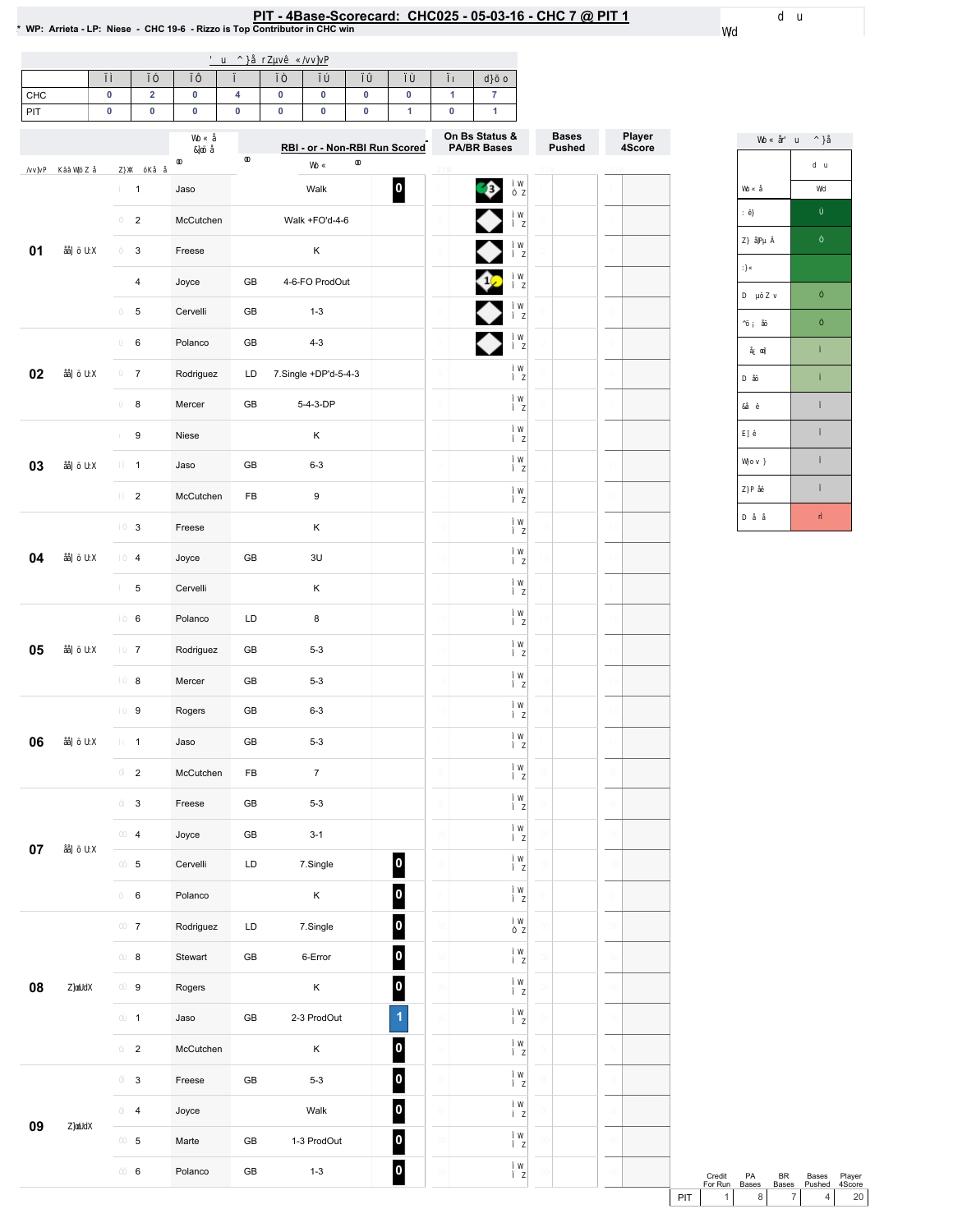## PIT - 4Base-Scorecard: CHC025 - 05-03-16 - CHC 7 @ PIT 1<br>\* WP: Arrieta - LP: Niese - CHC 19-6 - Rizzo is Top Contributor in CHC win

| CHC |  |  |  |  |  |
|-----|--|--|--|--|--|
| PIT |  |  |  |  |  |

|        |                         |           | RBI - or - Non-RBI Run Scored |                      |                         | On Bs Status &<br><b>PA/BR Bases</b> | <b>Bases</b><br><b>Pushed</b> | Player<br>4Score |
|--------|-------------------------|-----------|-------------------------------|----------------------|-------------------------|--------------------------------------|-------------------------------|------------------|
|        | $\mathbf{1}$            | Jaso      |                               | Walk                 | 0                       | ♦                                    |                               |                  |
|        | $\overline{2}$          | McCutchen |                               | Walk +FO'd-4-6       |                         |                                      |                               |                  |
| 01     | 3                       | Freese    |                               | К                    |                         |                                      |                               |                  |
|        | 4                       | Joyce     | GB                            | 4-6-FO ProdOut       |                         | ⇔                                    |                               |                  |
|        | 5                       | Cervelli  | GB                            | $1 - 3$              |                         | ♦                                    |                               |                  |
|        | 6                       | Polanco   | GB                            | $4 - 3$              |                         |                                      |                               |                  |
| 02     | $\boldsymbol{7}$        | Rodriguez | LD                            | 7.Single +DP'd-5-4-3 |                         |                                      |                               |                  |
|        | 8                       | Mercer    | GB                            | 5-4-3-DP             |                         |                                      |                               |                  |
|        | 9                       | Niese     |                               | Κ                    |                         |                                      |                               |                  |
| 03     | $\mathbf{1}$            | Jaso      | GB                            | $6 - 3$              |                         |                                      |                               |                  |
|        | $\overline{2}$          | McCutchen | FB                            | $\boldsymbol{9}$     |                         |                                      |                               |                  |
|        | 3                       | Freese    |                               | Κ                    |                         |                                      |                               |                  |
| 04     | 4                       | Joyce     | GB                            | 3U                   |                         |                                      |                               |                  |
|        | 5                       | Cervelli  |                               | К                    |                         |                                      |                               |                  |
|        | 6                       | Polanco   | LD                            | 8                    |                         |                                      |                               |                  |
| 05     | $\overline{7}$          | Rodriguez | GB                            | $5 - 3$              |                         |                                      |                               |                  |
|        | 8                       | Mercer    | GB                            | $5 - 3$              |                         |                                      |                               |                  |
|        | 9                       | Rogers    | GB                            | $6 - 3$              |                         |                                      |                               |                  |
| 06     | $\mathbf{1}$            | Jaso      | GB                            | $5 - 3$              |                         |                                      |                               |                  |
|        | $\overline{c}$          | McCutchen | FB                            | $\overline{7}$       |                         |                                      |                               |                  |
|        | 3                       | Freese    | GB                            | $5 - 3$              |                         |                                      |                               |                  |
| $07\,$ | 4                       | Joyce     | GB                            | $3-1$                |                         |                                      |                               |                  |
|        | $\mathbf 5$             | Cervelli  | LD                            | 7.Single             | $\boxed{\mathbf{0}}$    |                                      |                               |                  |
|        | $\mathbf 6$             | Polanco   |                               | $\mathsf K$          | $\boxed{0}$             |                                      |                               |                  |
|        | $\overline{7}$          | Rodriguez | LD                            | 7.Single             | $\overline{\mathbf{0}}$ |                                      |                               |                  |
|        | 8                       | Stewart   | ${\sf GB}$                    | 6-Error              | $\overline{\mathbf{0}}$ |                                      |                               |                  |
| 08     | $\boldsymbol{9}$        | Rogers    |                               | $\sf K$              | $\boxed{0}$             |                                      |                               |                  |
|        | $\mathbf{1}$            | Jaso      | ${\sf GB}$                    | 2-3 ProdOut          | $\overline{1}$          |                                      |                               |                  |
|        | $\overline{2}$          | McCutchen |                               | $\sf K$              | $\boxed{\mathbf{0}}$    |                                      |                               |                  |
|        | $\mathbf{3}$            | Freese    | ${\sf GB}$                    | $5 - 3$              | $\overline{\mathbf{0}}$ |                                      |                               |                  |
| 09     | $\overline{\mathbf{4}}$ | Joyce     |                               | Walk                 | $\overline{\mathbf{0}}$ |                                      |                               |                  |
|        | $\,$ 5 $\,$             | Marte     | ${\sf GB}$                    | 1-3 ProdOut          | $\overline{\mathbf{0}}$ |                                      |                               |                  |
|        | 6                       | Polanco   | ${\sf GB}$                    | $1-3$                | $\overline{\mathbf{0}}$ |                                      |                               |                  |

Credit PA BR Bases Player<br>
ForRun Bases Bases Pushed 4Score<br>
PIT 1 8 7 4 20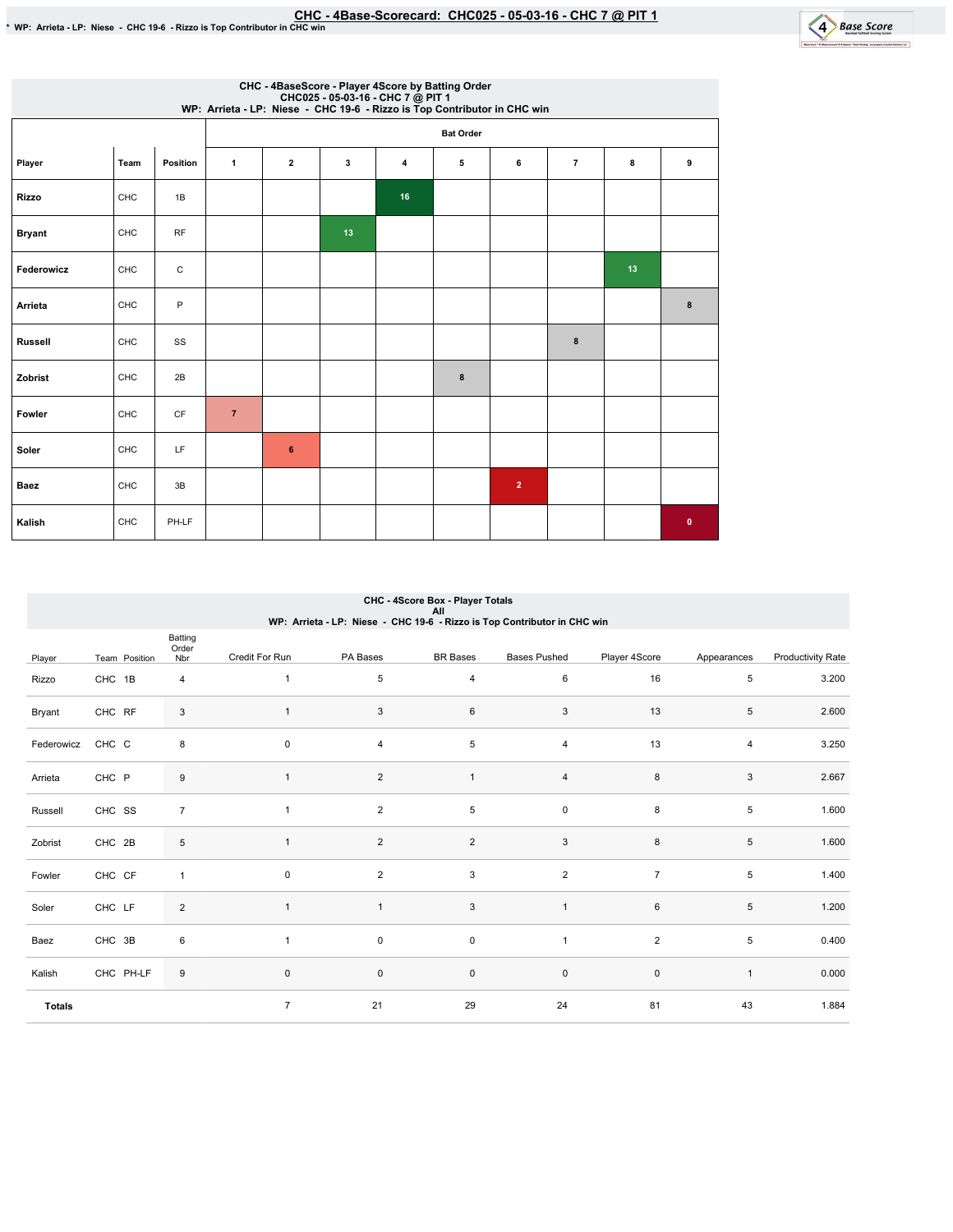

|               | CHC - 4BaseScore - Player 4Score by Batting Order<br>CHC025 - 05-03-16 - CHC 7 @ PIT 1<br>WP: Arrieta - LP: Niese - CHC 19-6 - Rizzo is Top Contributor in CHC win |              |                |              |    |    |                  |                |                |    |           |  |  |  |
|---------------|--------------------------------------------------------------------------------------------------------------------------------------------------------------------|--------------|----------------|--------------|----|----|------------------|----------------|----------------|----|-----------|--|--|--|
|               |                                                                                                                                                                    |              |                |              |    |    | <b>Bat Order</b> |                |                |    |           |  |  |  |
| Player        | Team                                                                                                                                                               | Position     | $\mathbf{1}$   | $\mathbf{2}$ | 3  | 4  | 5                | 6              | $\overline{7}$ | 8  | 9         |  |  |  |
| <b>Rizzo</b>  | CHC                                                                                                                                                                | 1B           |                |              |    | 16 |                  |                |                |    |           |  |  |  |
| <b>Bryant</b> | CHC                                                                                                                                                                | <b>RF</b>    |                |              | 13 |    |                  |                |                |    |           |  |  |  |
| Federowicz    | CHC                                                                                                                                                                | $\mathsf{C}$ |                |              |    |    |                  |                |                | 13 |           |  |  |  |
| Arrieta       | CHC                                                                                                                                                                | P            |                |              |    |    |                  |                |                |    | 8         |  |  |  |
| Russell       | CHC                                                                                                                                                                | SS           |                |              |    |    |                  |                | 8              |    |           |  |  |  |
| Zobrist       | CHC                                                                                                                                                                | 2B           |                |              |    |    | 8                |                |                |    |           |  |  |  |
| Fowler        | CHC                                                                                                                                                                | CF           | $\overline{7}$ |              |    |    |                  |                |                |    |           |  |  |  |
| Soler         | CHC                                                                                                                                                                | LF           |                | 6            |    |    |                  |                |                |    |           |  |  |  |
| Baez          | CHC                                                                                                                                                                | 3B           |                |              |    |    |                  | $\overline{2}$ |                |    |           |  |  |  |
| Kalish        | CHC                                                                                                                                                                | PH-LF        |                |              |    |    |                  |                |                |    | $\bullet$ |  |  |  |

|               | CHC - 4Score Box - Player Totals<br>All<br>WP: Arrieta - LP: Niese - CHC 19-6 - Rizzo is Top Contributor in CHC win |                         |                |                |                     |                         |                |                |                          |  |  |  |  |
|---------------|---------------------------------------------------------------------------------------------------------------------|-------------------------|----------------|----------------|---------------------|-------------------------|----------------|----------------|--------------------------|--|--|--|--|
| Player        | Team Position                                                                                                       | Batting<br>Order<br>Nbr | Credit For Run | PA Bases       | <b>BR</b> Bases     | <b>Bases Pushed</b>     | Player 4Score  | Appearances    | <b>Productivity Rate</b> |  |  |  |  |
| Rizzo         | CHC 1B                                                                                                              | $\overline{4}$          | $\mathbf{1}$   | 5              | $\overline{4}$      | 6                       | 16             | 5              | 3.200                    |  |  |  |  |
| Bryant        | CHC RF                                                                                                              | 3                       | $\mathbf{1}$   | 3              | 6                   | 3                       | 13             | 5              | 2.600                    |  |  |  |  |
| Federowicz    | CHC C                                                                                                               | 8                       | $\mathsf 0$    | $\overline{4}$ | 5                   | 4                       | 13             | $\overline{4}$ | 3.250                    |  |  |  |  |
| Arrieta       | CHC P                                                                                                               | 9                       | $\mathbf{1}$   | $\overline{c}$ | $\mathbf{1}$        | $\overline{\mathbf{4}}$ | 8              | 3              | 2.667                    |  |  |  |  |
| Russell       | CHC SS                                                                                                              | $\overline{7}$          | $\mathbf{1}$   | $\overline{2}$ | 5                   | 0                       | 8              | 5              | 1.600                    |  |  |  |  |
| Zobrist       | CHC 2B                                                                                                              | 5                       | $\mathbf{1}$   | $\overline{2}$ | $\overline{2}$      | 3                       | 8              | 5              | 1.600                    |  |  |  |  |
| Fowler        | CHC CF                                                                                                              | $\mathbf{1}$            | $\mathbf 0$    | $\overline{c}$ | 3                   | $\overline{\mathbf{c}}$ | $\overline{7}$ | 5              | 1.400                    |  |  |  |  |
| Soler         | CHC LF                                                                                                              | $\overline{2}$          | $\mathbf{1}$   | $\mathbf{1}$   | 3                   | $\mathbf{1}$            | 6              | 5              | 1.200                    |  |  |  |  |
| Baez          | CHC 3B                                                                                                              | 6                       | $\overline{1}$ | 0              | $\mathsf 0$         | $\mathbf{1}$            | $\overline{2}$ | 5              | 0.400                    |  |  |  |  |
| Kalish        | CHC PH-LF                                                                                                           | 9                       | $\pmb{0}$      | $\mathsf 0$    | $\mathsf{O}\xspace$ | $\pmb{0}$               | $\pmb{0}$      | $\mathbf{1}$   | 0.000                    |  |  |  |  |
| <b>Totals</b> |                                                                                                                     |                         | $\overline{7}$ | 21             | 29                  | 24                      | 81             | 43             | 1.884                    |  |  |  |  |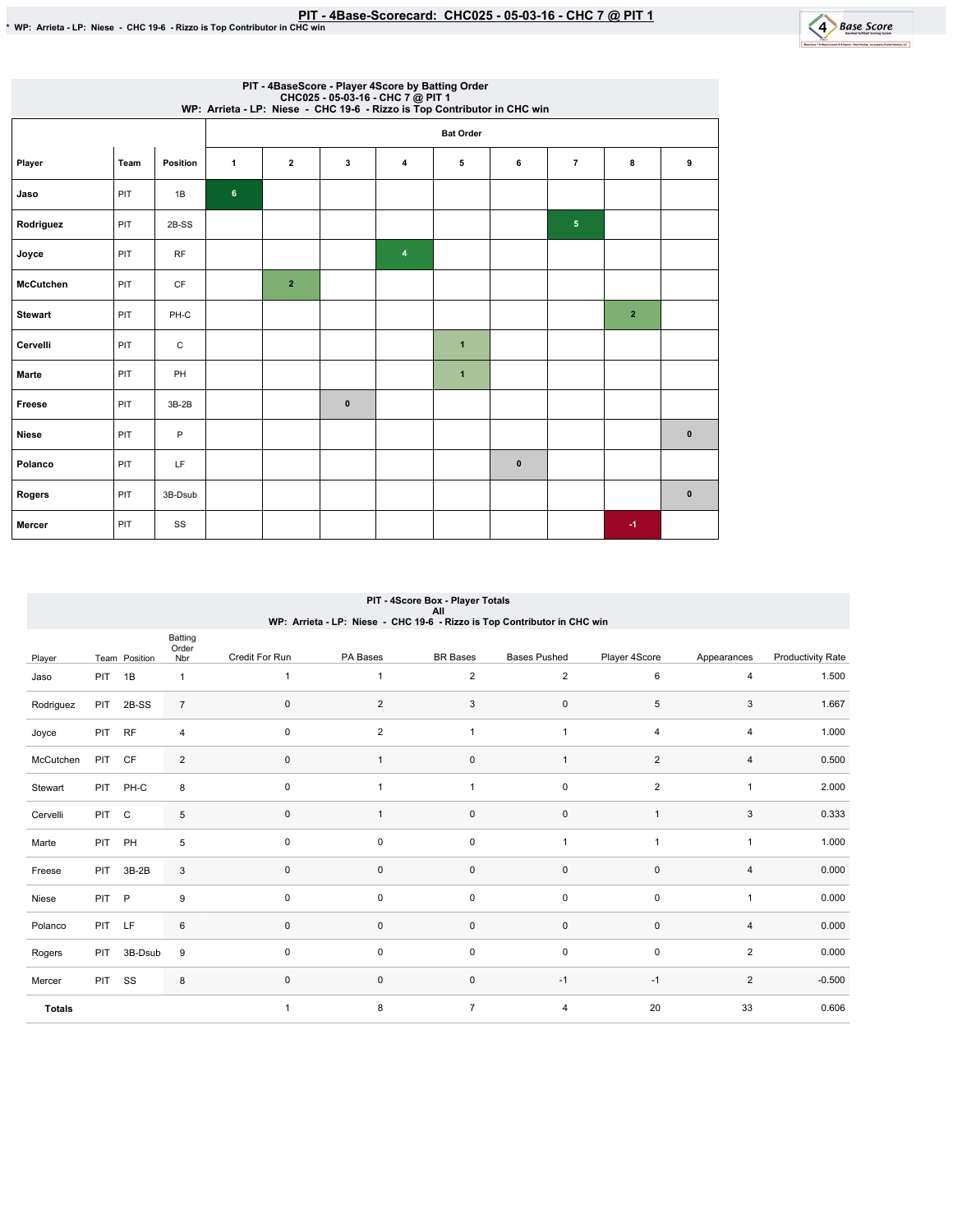

|                  | PIT - 4BaseScore - Player 4Score by Batting Order<br>CHC025 - 05-03-16 - CHC 7 @ PIT 1<br>WP: Arrieta - LP: Niese - CHC 19-6 - Rizzo is Top Contributor in CHC win |           |                |                |              |   |                  |              |                 |                         |           |  |  |  |
|------------------|--------------------------------------------------------------------------------------------------------------------------------------------------------------------|-----------|----------------|----------------|--------------|---|------------------|--------------|-----------------|-------------------------|-----------|--|--|--|
|                  |                                                                                                                                                                    |           |                |                |              |   | <b>Bat Order</b> |              |                 |                         |           |  |  |  |
| Player           | Team                                                                                                                                                               | Position  | $\mathbf{1}$   | $\overline{2}$ | 3            | 4 | 5                | 6            | $\overline{7}$  | 8                       | 9         |  |  |  |
| Jaso             | PIT                                                                                                                                                                | 1B        | $6\phantom{a}$ |                |              |   |                  |              |                 |                         |           |  |  |  |
| Rodriguez        | PIT                                                                                                                                                                | 2B-SS     |                |                |              |   |                  |              | $5\phantom{.0}$ |                         |           |  |  |  |
| Joyce            | PIT                                                                                                                                                                | <b>RF</b> |                |                |              | 4 |                  |              |                 |                         |           |  |  |  |
| <b>McCutchen</b> | PIT                                                                                                                                                                | CF        |                | $\overline{2}$ |              |   |                  |              |                 |                         |           |  |  |  |
| <b>Stewart</b>   | PIT                                                                                                                                                                | PH-C      |                |                |              |   |                  |              |                 | $\overline{\mathbf{2}}$ |           |  |  |  |
| Cervelli         | PIT                                                                                                                                                                | C         |                |                |              |   | $\mathbf{1}$     |              |                 |                         |           |  |  |  |
| Marte            | PIT                                                                                                                                                                | PH        |                |                |              |   | $\mathbf{1}$     |              |                 |                         |           |  |  |  |
| Freese           | PIT                                                                                                                                                                | $3B-2B$   |                |                | $\mathbf{0}$ |   |                  |              |                 |                         |           |  |  |  |
| <b>Niese</b>     | PIT                                                                                                                                                                | P         |                |                |              |   |                  |              |                 |                         | $\pmb{0}$ |  |  |  |
| Polanco          | PIT                                                                                                                                                                | LF        |                |                |              |   |                  | $\mathbf{0}$ |                 |                         |           |  |  |  |
| Rogers           | PIT                                                                                                                                                                | 3B-Dsub   |                |                |              |   |                  |              |                 |                         | $\pmb{0}$ |  |  |  |
| Mercer           | PIT                                                                                                                                                                | SS        |                |                |              |   |                  |              |                 | $-1$                    |           |  |  |  |

|               | PIT - 4Score Box - Player Totals<br>All |               |                |                |                |                                                                          |                     |                         |                |                          |  |  |
|---------------|-----------------------------------------|---------------|----------------|----------------|----------------|--------------------------------------------------------------------------|---------------------|-------------------------|----------------|--------------------------|--|--|
|               |                                         |               | Batting        |                |                | WP: Arrieta - LP: Niese - CHC 19-6 - Rizzo is Top Contributor in CHC win |                     |                         |                |                          |  |  |
| Player        |                                         | Team Position | Order<br>Nbr   | Credit For Run | PA Bases       | <b>BR</b> Bases                                                          | <b>Bases Pushed</b> | Player 4Score           | Appearances    | <b>Productivity Rate</b> |  |  |
| Jaso          | PIT                                     | 1B            | $\mathbf{1}$   | $\overline{1}$ | $\mathbf{1}$   | $\overline{2}$                                                           | $\overline{2}$      | 6                       | $\overline{4}$ | 1.500                    |  |  |
| Rodriguez     | PIT                                     | 2B-SS         | $\overline{7}$ | $\mathbf 0$    | $\overline{c}$ | 3                                                                        | $\pmb{0}$           | 5                       | 3              | 1.667                    |  |  |
| Joyce         | PIT                                     | <b>RF</b>     | 4              | $\mathbf 0$    | $\overline{2}$ | $\mathbf{1}$                                                             | $\mathbf{1}$        | $\overline{4}$          | $\overline{4}$ | 1.000                    |  |  |
| McCutchen     | PIT                                     | CF            | $\overline{c}$ | $\mathbf{0}$   | $\mathbf{1}$   | 0                                                                        | $\mathbf{1}$        | $\overline{\mathbf{c}}$ | 4              | 0.500                    |  |  |
| Stewart       | <b>PIT</b>                              | PH-C          | 8              | $\mathbf 0$    | $\mathbf{1}$   | $\mathbf{1}$                                                             | $\pmb{0}$           | $\overline{2}$          | $\mathbf{1}$   | 2.000                    |  |  |
| Cervelli      | <b>PIT</b>                              | $\mathbf C$   | 5              | $\mathbf{0}$   | $\mathbf{1}$   | 0                                                                        | $\pmb{0}$           | $\overline{1}$          | 3              | 0.333                    |  |  |
| Marte         | PIT                                     | PH            | 5              | $\mathbf 0$    | 0              | $\mathbf 0$                                                              | 1                   | $\overline{1}$          | $\mathbf{1}$   | 1.000                    |  |  |
| Freese        | <b>PIT</b>                              | $3B-2B$       | 3              | $\mathbf{0}$   | 0              | $\mathbf 0$                                                              | 0                   | $\mathbf 0$             | $\overline{4}$ | 0.000                    |  |  |
| Niese         | <b>PIT</b>                              | P             | 9              | $\mathbf 0$    | 0              | $\mathbf 0$                                                              | $\pmb{0}$           | $\mathbf 0$             | $\mathbf{1}$   | 0.000                    |  |  |
| Polanco       | <b>PIT</b>                              | LF            | 6              | $\mathbf 0$    | 0              | $\mathsf 0$                                                              | $\pmb{0}$           | $\mathbf 0$             | 4              | 0.000                    |  |  |
| Rogers        | PIT                                     | 3B-Dsub       | 9              | $\mathbf 0$    | 0              | $\mathbf 0$                                                              | $\pmb{0}$           | $\mathbf 0$             | $\overline{2}$ | 0.000                    |  |  |
| Mercer        | <b>PIT</b>                              | SS            | 8              | $\mathbf 0$    | 0              | 0                                                                        | $-1$                | $-1$                    | $\overline{2}$ | $-0.500$                 |  |  |
| <b>Totals</b> |                                         |               |                | $\overline{1}$ | 8              | $\overline{7}$                                                           | 4                   | 20                      | 33             | 0.606                    |  |  |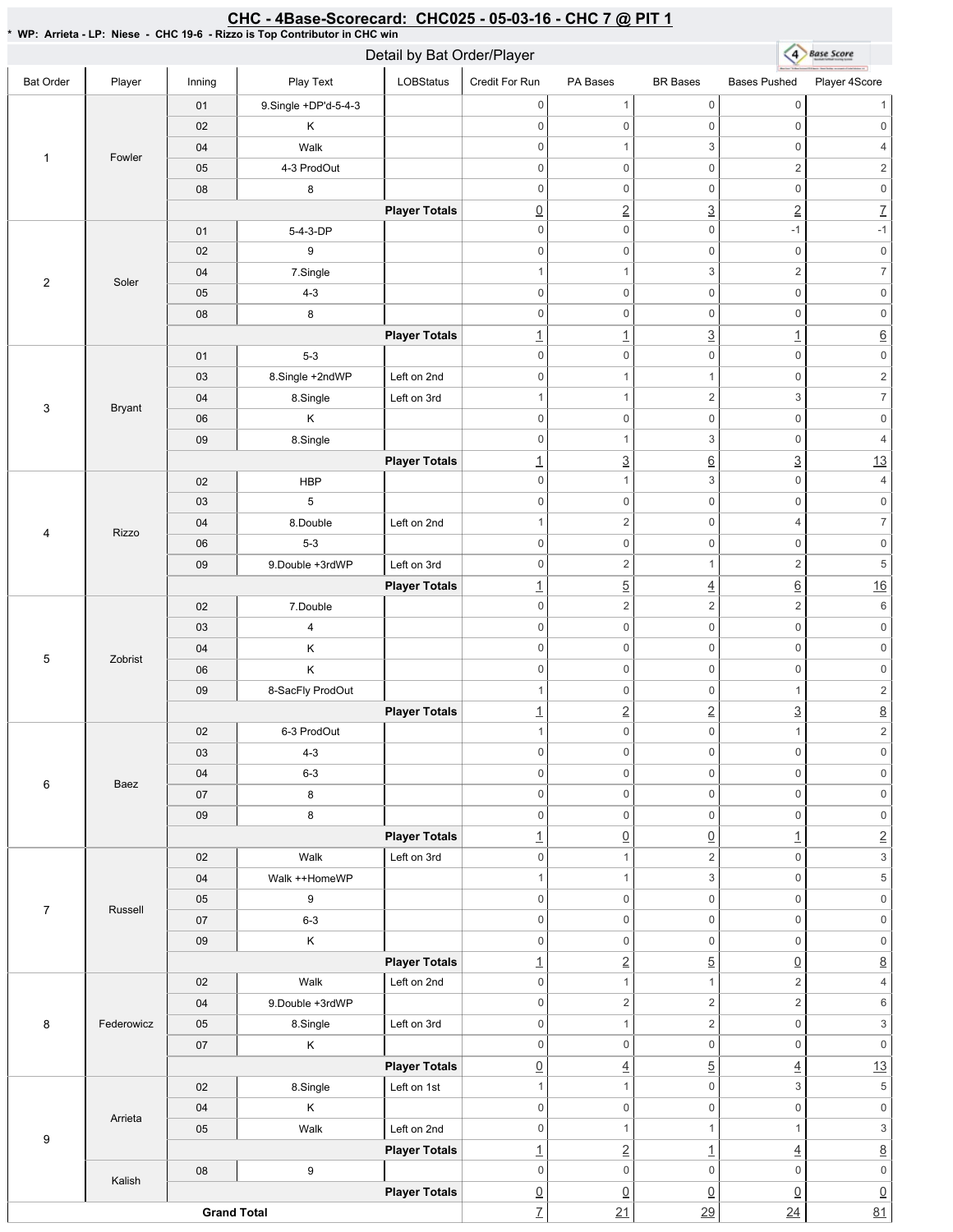## 4 Base Score Detail by Bat Order/Player Bat Order | Player | Inning | PlayText | LOBStatus Credit For Run PA Bases BR Bases Bases Pushed Player 4Score 01 9.Single +DP'd-5-4-3 0 0 1 0 1 02 K 0 0 0 0 0 0 04 | Walk 0 1 3 0 4 1 Fowler 05 | 4-3 ProdOut  $0 \qquad \qquad 0 \qquad \qquad 2 \qquad \qquad 2$ 08 8 0 0 0 0 0 0 **Player Totals**  $\boxed{0}$  2  $\boxed{2}$   $\boxed{2}$   $\boxed{7}$ 01 5-4-3-DP 0 0 -1 -1 02 9 0 0 0 0 0 0 04 7.Single 1 1 3 2 7 2 Soler 05 4-3 0 0 0 0 0 0 08 8 0 0 0 0 0 0 **Player Totals**  $\frac{1}{1}$   $\frac{3}{1}$   $\frac{1}{1}$   $\frac{6}{1}$ 01 5-3 0 0 0 0 0 0 03 | 8.Single +2ndWP | Left on 2nd 0 1 1 0 2 04 8.Single Left on 3rd 1 1 2 3 7 3 Bryant 06 K 0 0 0 0 0 0 09 | 8.Single 0 1 3 0 4 **Player Totals** 1  $\frac{3}{6}$   $\frac{6}{3}$   $\frac{3}{13}$ 02 **HBP** 0 1 3 0 4 03 5 0 0 0 0 0 0 04 8.Double Left on 2nd 1  $2$  0 4 7 4 Rizzo 06 5-3 0 0 0 0 0 0 09 9.Double +3rdWP Left on 3rd 0 2 1 2 5 **Player Totals** 1 5 4 6 16 02 7.Double 0 2  $2$  2 6 03 4 0 0 0 0 0 0 04 K 0 0 0 0 0 0 5 Zobrist 06 K 0 0 0 0 0 0 09 8-SacFly ProdOut 1 0 0 1 2 **Player Totals**  $\frac{1}{2}$   $\frac{2}{2}$   $\frac{3}{2}$   $\frac{8}{2}$ 02 6-3 ProdOut 1 0 0 1 2 03 4-3 0 0 0 0 0 0 04 6-3 0 0 0 0 0 0 6 Baez 07 8 0 0 0 0 0 0 09 8 0 0 0 0 0 0 **Player Totals** 1 0 0 1 2 02 | Walk Left on 3rd 0 1 2 0 3 04 | Walk ++HomeWP 1 1 3 0 5 05 9 0 0 0 0 0 0 7 Russell 07 6-3 0 0 0 0 0 0 09 K 0 0 0 0 0 0 **Player Totals** 1 2 5 0 8 02 | Walk Left on 2nd 0 1 1 2 4 04 9.Double +3rdWP 0 2  $2$  2 6 05 | 8.Single | Left on 3rd 8 Federowicz 0 1 2 0 3 07 K 0 0 0 0 0 0 **Player Totals** 0 4 5 4 13 02 | 8.Single | Left on 1st 1 1 0 3 5 04 K 0 0 0 0 0 0 Arrieta 05 | Walk Left on 2nd 0 1 1 1  $1$  3 9 **Player Totals**  $\frac{1}{2}$   $\frac{1}{4}$   $\frac{8}{2}$ 08 9 0 0 0 0 0 0 Kalish **Player Totals** 0 0 0 0 0 **Grand Total** 7 21 29 24 81

## CHC - 4Base-Scorecard: CHC025 - 05-03-16 - CHC 7 @ PIT 1

\*WP:Arrieta-LP:Niese-CHC19-6-RizzoisTopContributorinCHCwin